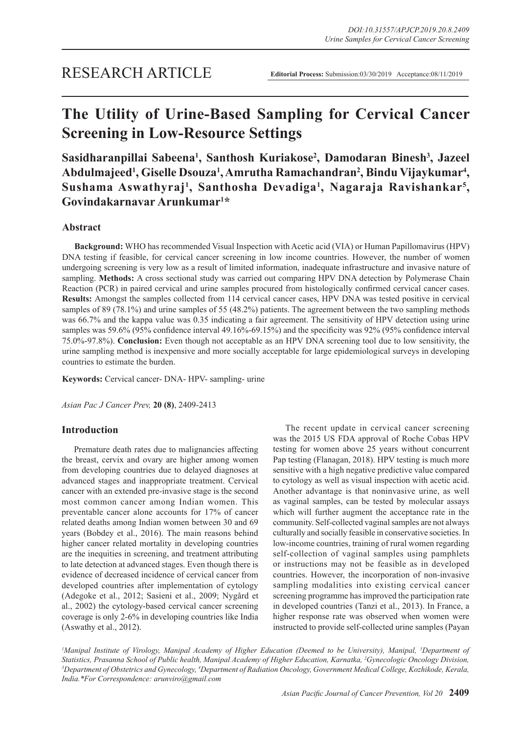# **The Utility of Urine-Based Sampling for Cervical Cancer Screening in Low-Resource Settings**

**Sasidharanpillai Sabeena1 , Santhosh Kuriakose2 , Damodaran Binesh3 , Jazeel Abdulmajeed1 , Giselle Dsouza1 , Amrutha Ramachandran2 , Bindu Vijaykumar4 ,**  Sushama Aswathyraj<sup>1</sup>, Santhosha Devadiga<sup>1</sup>, Nagaraja Ravishankar<sup>5</sup>, **Govindakarnavar Arunkumar1 \***

# **Abstract**

**Background:** WHO has recommended Visual Inspection with Acetic acid (VIA) or Human Papillomavirus (HPV) DNA testing if feasible, for cervical cancer screening in low income countries. However, the number of women undergoing screening is very low as a result of limited information, inadequate infrastructure and invasive nature of sampling. **Methods:** A cross sectional study was carried out comparing HPV DNA detection by Polymerase Chain Reaction (PCR) in paired cervical and urine samples procured from histologically confirmed cervical cancer cases. **Results:** Amongst the samples collected from 114 cervical cancer cases, HPV DNA was tested positive in cervical samples of 89 (78.1%) and urine samples of 55 (48.2%) patients. The agreement between the two sampling methods was 66.7% and the kappa value was 0.35 indicating a fair agreement. The sensitivity of HPV detection using urine samples was 59.6% (95% confidence interval 49.16%-69.15%) and the specificity was 92% (95% confidence interval 75.0%-97.8%). **Conclusion:** Even though not acceptable as an HPV DNA screening tool due to low sensitivity, the urine sampling method is inexpensive and more socially acceptable for large epidemiological surveys in developing countries to estimate the burden.

**Keywords:** Cervical cancer- DNA- HPV- sampling- urine

*Asian Pac J Cancer Prev,* **20 (8)**, 2409-2413

# **Introduction**

Premature death rates due to malignancies affecting the breast, cervix and ovary are higher among women from developing countries due to delayed diagnoses at advanced stages and inappropriate treatment. Cervical cancer with an extended pre-invasive stage is the second most common cancer among Indian women. This preventable cancer alone accounts for 17% of cancer related deaths among Indian women between 30 and 69 years (Bobdey et al., 2016). The main reasons behind higher cancer related mortality in developing countries are the inequities in screening, and treatment attributing to late detection at advanced stages. Even though there is evidence of decreased incidence of cervical cancer from developed countries after implementation of cytology (Adegoke et al., 2012; Sasieni et al., 2009; Nygård et al., 2002) the cytology-based cervical cancer screening coverage is only 2-6% in developing countries like India (Aswathy et al., 2012).

The recent update in cervical cancer screening was the 2015 US FDA approval of Roche Cobas HPV testing for women above 25 years without concurrent Pap testing (Flanagan, 2018). HPV testing is much more sensitive with a high negative predictive value compared to cytology as well as visual inspection with acetic acid. Another advantage is that noninvasive urine, as well as vaginal samples, can be tested by molecular assays which will further augment the acceptance rate in the community. Self-collected vaginal samples are not always culturally and socially feasible in conservative societies. In low-income countries, training of rural women regarding self-collection of vaginal samples using pamphlets or instructions may not be feasible as in developed countries. However, the incorporation of non-invasive sampling modalities into existing cervical cancer screening programme has improved the participation rate in developed countries (Tanzi et al., 2013). In France, a higher response rate was observed when women were instructed to provide self-collected urine samples (Payan

*1 Manipal Institute of Virology, Manipal Academy of Higher Education (Deemed to be University), Manipal, 5 Department of Statistics, Prasanna School of Public health, Manipal Academy of Higher Education, Karnatka, 2 Gynecologic Oncology Division, 3* Department of Obstetrics and Gynecology, <sup>4</sup>Department of Radiation Oncology, Government Medical College, Kozhikode, Kerala, *India.\*For Correspondence: arunviro@gmail.com*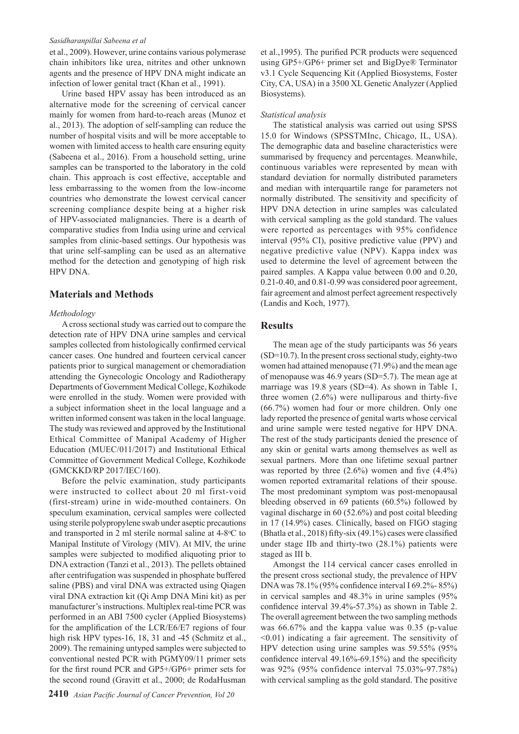#### *Sasidharanpillai Sabeena et al*

et al., 2009). However, urine contains various polymerase chain inhibitors like urea, nitrites and other unknown agents and the presence of HPV DNA might indicate an infection of lower genital tract (Khan et al., 1991).

Urine based HPV assay has been introduced as an alternative mode for the screening of cervical cancer mainly for women from hard-to-reach areas (Munoz et al., 2013). The adoption of self-sampling can reduce the number of hospital visits and will be more acceptable to women with limited access to health care ensuring equity (Sabeena et al., 2016). From a household setting, urine samples can be transported to the laboratory in the cold chain. This approach is cost effective, acceptable and less embarrassing to the women from the low-income countries who demonstrate the lowest cervical cancer screening compliance despite being at a higher risk of HPV-associated malignancies. There is a dearth of comparative studies from India using urine and cervical samples from clinic-based settings. Our hypothesis was that urine self-sampling can be used as an alternative method for the detection and genotyping of high risk HPV DNA.

## **Materials and Methods**

## *Methodology*

A cross sectional study was carried out to compare the detection rate of HPV DNA urine samples and cervical samples collected from histologically confirmed cervical cancer cases. One hundred and fourteen cervical cancer patients prior to surgical management or chemoradiation attending the Gynecologic Oncology and Radiotherapy Departments of Government Medical College, Kozhikode were enrolled in the study. Women were provided with a subject information sheet in the local language and a written informed consent was taken in the local language. The study was reviewed and approved by the Institutional Ethical Committee of Manipal Academy of Higher Education (MUEC/011/2017) and Institutional Ethical Committee of Government Medical College, Kozhikode (GMCKKD/RP 2017/IEC/160).

Before the pelvic examination, study participants were instructed to collect about 20 ml first-void (first-stream) urine in wide-mouthed containers. On speculum examination, cervical samples were collected using sterile polypropylene swab under aseptic precautions and transported in 2 ml sterile normal saline at 4-8°C to Manipal Institute of Virology (MIV). At MIV, the urine samples were subjected to modified aliquoting prior to DNA extraction (Tanzi et al., 2013). The pellets obtained after centrifugation was suspended in phosphate buffered saline (PBS) and viral DNA was extracted using Qiagen viral DNA extraction kit (Qi Amp DNA Mini kit) as per manufacturer's instructions. Multiplex real-time PCR was performed in an ABI 7500 cycler (Applied Biosystems) for the amplification of the LCR/E6/E7 regions of four high risk HPV types-16, 18, 31 and -45 (Schmitz et al., 2009). The remaining untyped samples were subjected to conventional nested PCR with PGMY09/11 primer sets for the first round PCR and GP5+/GP6+ primer sets for the second round (Gravitt et al., 2000; de RodaHusman

et al.,1995). The purified PCR products were sequenced using GP5+/GP6+ primer set and BigDye® Terminator v3.1 Cycle Sequencing Kit (Applied Biosystems, Foster City, CA, USA) in a 3500 XL Genetic Analyzer (Applied Biosystems).

#### *Statistical analysis*

The statistical analysis was carried out using SPSS 15.0 for Windows (SPSSTMInc, Chicago, IL, USA). The demographic data and baseline characteristics were summarised by frequency and percentages. Meanwhile, continuous variables were represented by mean with standard deviation for normally distributed parameters and median with interquartile range for parameters not normally distributed. The sensitivity and specificity of HPV DNA detection in urine samples was calculated with cervical sampling as the gold standard. The values were reported as percentages with 95% confidence interval (95% CI), positive predictive value (PPV) and negative predictive value (NPV). Kappa index was used to determine the level of agreement between the paired samples. A Kappa value between 0.00 and 0.20, 0.21-0.40, and 0.81-0.99 was considered poor agreement, fair agreement and almost perfect agreement respectively (Landis and Koch, 1977).

## **Results**

The mean age of the study participants was 56 years (SD=10.7). In the present cross sectional study, eighty-two women had attained menopause (71.9%) and the mean age of menopause was 46.9 years (SD=5.7). The mean age at marriage was 19.8 years (SD=4). As shown in Table 1, three women (2.6%) were nulliparous and thirty-five (66.7%) women had four or more children. Only one lady reported the presence of genital warts whose cervical and urine sample were tested negative for HPV DNA. The rest of the study participants denied the presence of any skin or genital warts among themselves as well as sexual partners. More than one lifetime sexual partner was reported by three  $(2.6\%)$  women and five  $(4.4\%)$ women reported extramarital relations of their spouse. The most predominant symptom was post-menopausal bleeding observed in 69 patients (60.5%) followed by vaginal discharge in 60 (52.6%) and post coital bleeding in 17 (14.9%) cases. Clinically, based on FIGO staging (Bhatla et al., 2018) fifty-six (49.1%) cases were classified under stage IIb and thirty-two (28.1%) patients were staged as III b.

Amongst the 114 cervical cancer cases enrolled in the present cross sectional study, the prevalence of HPV DNA was 78.1% (95% confidence interval I 69.2%- 85%) in cervical samples and 48.3% in urine samples (95% confidence interval 39.4%-57.3%) as shown in Table 2. The overall agreement between the two sampling methods was 66.67% and the kappa value was 0.35 (p-value <0.01) indicating a fair agreement. The sensitivity of HPV detection using urine samples was 59.55% (95% confidence interval 49.16%-69.15%) and the specificity was 92% (95% confidence interval 75.03%-97.78%) with cervical sampling as the gold standard. The positive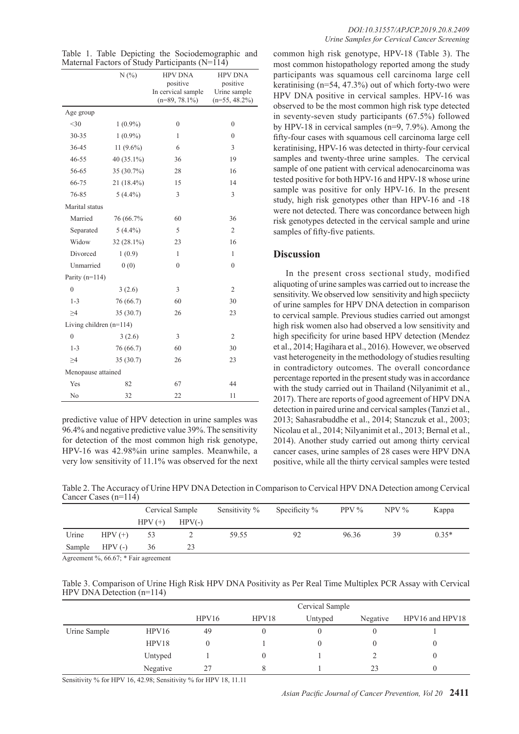|  |  | Table 1. Table Depicting the Sociodemographic and |  |
|--|--|---------------------------------------------------|--|
|  |  | Maternal Factors of Study Participants $(N=114)$  |  |

|                           | N(%)          | <b>HPV DNA</b>                 | <b>HPV DNA</b>           |  |  |  |  |  |
|---------------------------|---------------|--------------------------------|--------------------------|--|--|--|--|--|
|                           |               | positive<br>In cervical sample | positive<br>Urine sample |  |  |  |  |  |
|                           |               | $(n=89, 78.1\%)$               | $(n=55, 48.2\%)$         |  |  |  |  |  |
| Age group                 |               |                                |                          |  |  |  |  |  |
| $<$ 30                    | $1(0.9\%)$    | $\mathbf{0}$                   | $\overline{0}$           |  |  |  |  |  |
| $30 - 35$                 | $1(0.9\%)$    | 1                              | $\theta$                 |  |  |  |  |  |
| 36-45                     | $11(9.6\%)$   | 6                              | 3                        |  |  |  |  |  |
| 46-55                     | 40 $(35.1\%)$ | 36                             | 19                       |  |  |  |  |  |
| 56-65                     | 35 (30.7%)    | 28                             | 16                       |  |  |  |  |  |
| 66-75                     | 21 (18.4%)    | 15                             | 14                       |  |  |  |  |  |
| 76-85                     | $5(4.4\%)$    | 3                              | 3                        |  |  |  |  |  |
| Marital status            |               |                                |                          |  |  |  |  |  |
| Married                   | 76 (66.7%     | 60                             | 36                       |  |  |  |  |  |
| Separated                 | $5(4.4\%)$    | 5                              | $\overline{2}$           |  |  |  |  |  |
| Widow                     | $32(28.1\%)$  | 23                             | 16                       |  |  |  |  |  |
| Divorced                  | 1(0.9)        | 1                              | 1                        |  |  |  |  |  |
| Unmarried                 | 0(0)          | $\mathbf{0}$                   | $\overline{0}$           |  |  |  |  |  |
| Parity $(n=114)$          |               |                                |                          |  |  |  |  |  |
| $\boldsymbol{0}$          | 3(2.6)        | 3                              | $\overline{2}$           |  |  |  |  |  |
| $1 - 3$                   | 76 (66.7)     | 60                             | 30                       |  |  |  |  |  |
| $\geq 4$                  | 35(30.7)      | 26                             | 23                       |  |  |  |  |  |
| Living children $(n=114)$ |               |                                |                          |  |  |  |  |  |
| $\overline{0}$            | 3(2.6)        | 3                              | $\mathfrak{2}$           |  |  |  |  |  |
| $1 - 3$                   | 76 (66.7)     | 60                             | 30                       |  |  |  |  |  |
| $\geq 4$                  | 35 (30.7)     | 26                             | 23                       |  |  |  |  |  |
| Menopause attained        |               |                                |                          |  |  |  |  |  |
| Yes                       | 82            | 67                             | 44                       |  |  |  |  |  |
| N <sub>0</sub>            | 32            | 22                             | 11                       |  |  |  |  |  |

predictive value of HPV detection in urine samples was 96.4% and negative predictive value 39%. The sensitivity for detection of the most common high risk genotype, HPV-16 was 42.98%in urine samples. Meanwhile, a very low sensitivity of 11.1% was observed for the next common high risk genotype, HPV-18 (Table 3). The most common histopathology reported among the study participants was squamous cell carcinoma large cell keratinising  $(n=54, 47.3%)$  out of which forty-two were HPV DNA positive in cervical samples. HPV-16 was observed to be the most common high risk type detected in seventy-seven study participants (67.5%) followed by HPV-18 in cervical samples (n=9, 7.9%). Among the fifty-four cases with squamous cell carcinoma large cell keratinising, HPV-16 was detected in thirty-four cervical samples and twenty-three urine samples. The cervical sample of one patient with cervical adenocarcinoma was tested positive for both HPV-16 and HPV-18 whose urine sample was positive for only HPV-16. In the present study, high risk genotypes other than HPV-16 and -18 were not detected. There was concordance between high risk genotypes detected in the cervical sample and urine samples of fifty-five patients.

# **Discussion**

In the present cross sectional study, modified aliquoting of urine samples was carried out to increase the sensitivity. We observed low sensitivity and high speciicty of urine samples for HPV DNA detection in comparison to cervical sample. Previous studies carried out amongst high risk women also had observed a low sensitivity and high specificity for urine based HPV detection (Mendez et al., 2014; Hagihara et al., 2016). However, we observed vast heterogeneity in the methodology of studies resulting in contradictory outcomes. The overall concordance percentage reported in the present study was in accordance with the study carried out in Thailand (Nilyanimit et al., 2017). There are reports of good agreement of HPV DNA detection in paired urine and cervical samples (Tanzi et al., 2013; Sahasrabuddhe et al., 2014; Stanczuk et al., 2003; Nicolau et al., 2014; Nilyanimit et al., 2013; Bernal et al., 2014). Another study carried out among thirty cervical cancer cases, urine samples of 28 cases were HPV DNA positive, while all the thirty cervical samples were tested

Table 2. The Accuracy of Urine HPV DNA Detection in Comparison to Cervical HPV DNA Detection among Cervical Cancer Cases (n=114)

|                                                         |          | Cervical Sample |          | Sensitivity % | Specificity $%$ | PPV $\%$ | $NPV\%$ | Kappa   |
|---------------------------------------------------------|----------|-----------------|----------|---------------|-----------------|----------|---------|---------|
|                                                         |          | $HPV(+)$        | $HPV(-)$ |               |                 |          |         |         |
| Urine                                                   | $HPV(+)$ | 53              |          | 59.55         | 92              | 96.36    | 39      | $0.35*$ |
| Sample                                                  | $HPV(-)$ | 36              | 23       |               |                 |          |         |         |
| $\Delta$ greement $\frac{0}{6}$ 66.67. * Fair gargement |          |                 |          |               |                 |          |         |         |

Agreement %, 66.67; \* Fair agreement

Table 3. Comparison of Urine High Risk HPV DNA Positivity as Per Real Time Multiplex PCR Assay with Cervical HPV DNA Detection (n=114)

|              |          | Cervical Sample |       |         |          |                 |  |
|--------------|----------|-----------------|-------|---------|----------|-----------------|--|
|              |          | HPV16           | HPV18 | Untyped | Negative | HPV16 and HPV18 |  |
| Urine Sample | HPV16    | 49              |       |         |          |                 |  |
|              | HPV18    |                 |       |         |          |                 |  |
|              | Untyped  |                 |       |         |          |                 |  |
|              | Negative | 27              |       |         | 23       |                 |  |

Sensitivity % for HPV 16, 42.98; Sensitivity % for HPV 18, 11.11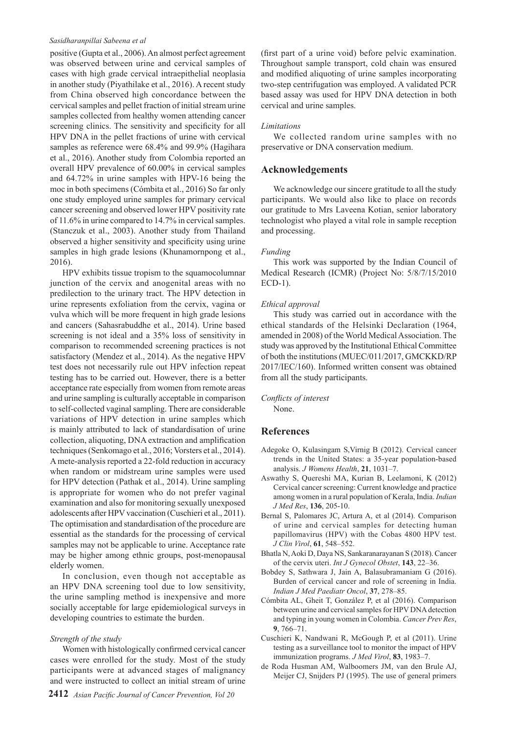## *Sasidharanpillai Sabeena et al*

positive (Gupta et al., 2006). An almost perfect agreement was observed between urine and cervical samples of cases with high grade cervical intraepithelial neoplasia in another study (Piyathilake et al., 2016). A recent study from China observed high concordance between the cervical samples and pellet fraction of initial stream urine samples collected from healthy women attending cancer screening clinics. The sensitivity and specificity for all HPV DNA in the pellet fractions of urine with cervical samples as reference were 68.4% and 99.9% (Hagihara et al., 2016). Another study from Colombia reported an overall HPV prevalence of 60.00% in cervical samples and 64.72% in urine samples with HPV-16 being the moc in both specimens (Cómbita et al., 2016) So far only one study employed urine samples for primary cervical cancer screening and observed lower HPV positivity rate of 11.6% in urine compared to 14.7% in cervical samples. (Stanczuk et al., 2003). Another study from Thailand observed a higher sensitivity and specificity using urine samples in high grade lesions (Khunamornpong et al., 2016).

HPV exhibits tissue tropism to the squamocolumnar junction of the cervix and anogenital areas with no predilection to the urinary tract. The HPV detection in urine represents exfoliation from the cervix, vagina or vulva which will be more frequent in high grade lesions and cancers (Sahasrabuddhe et al., 2014). Urine based screening is not ideal and a 35% loss of sensitivity in comparison to recommended screening practices is not satisfactory (Mendez et al., 2014). As the negative HPV test does not necessarily rule out HPV infection repeat testing has to be carried out. However, there is a better acceptance rate especially from women from remote areas and urine sampling is culturally acceptable in comparison to self-collected vaginal sampling. There are considerable variations of HPV detection in urine samples which is mainly attributed to lack of standardisation of urine collection, aliquoting, DNA extraction and amplification techniques (Senkomago et al., 2016; Vorsters et al., 2014). A mete-analysis reported a 22-fold reduction in accuracy when random or midstream urine samples were used for HPV detection (Pathak et al., 2014). Urine sampling is appropriate for women who do not prefer vaginal examination and also for monitoring sexually unexposed adolescents after HPV vaccination (Cuschieri et al., 2011). The optimisation and standardisation of the procedure are essential as the standards for the processing of cervical samples may not be applicable to urine. Acceptance rate may be higher among ethnic groups, post-menopausal elderly women.

In conclusion, even though not acceptable as an HPV DNA screening tool due to low sensitivity, the urine sampling method is inexpensive and more socially acceptable for large epidemiological surveys in developing countries to estimate the burden.

## *Strength of the study*

Women with histologically confirmed cervical cancer cases were enrolled for the study. Most of the study participants were at advanced stages of malignancy and were instructed to collect an initial stream of urine (first part of a urine void) before pelvic examination. Throughout sample transport, cold chain was ensured and modified aliquoting of urine samples incorporating two-step centrifugation was employed. A validated PCR based assay was used for HPV DNA detection in both cervical and urine samples.

## *Limitations*

We collected random urine samples with no preservative or DNA conservation medium.

## **Acknowledgements**

We acknowledge our sincere gratitude to all the study participants. We would also like to place on records our gratitude to Mrs Laveena Kotian, senior laboratory technologist who played a vital role in sample reception and processing.

### *Funding*

This work was supported by the Indian Council of Medical Research (ICMR) (Project No: 5/8/7/15/2010 ECD-1).

### *Ethical approval*

This study was carried out in accordance with the ethical standards of the Helsinki Declaration (1964, amended in 2008) of the World Medical Association. The study was approved by the Institutional Ethical Committee of both the institutions (MUEC/011/2017, GMCKKD/RP 2017/IEC/160). Informed written consent was obtained from all the study participants.

*Conflicts of interest* None.

## **References**

- Adegoke O, Kulasingam S,Virnig B (2012). Cervical cancer trends in the United States: a 35-year population-based analysis. *J Womens Health*, **21**, 1031–7.
- Aswathy S, Quereshi MA, Kurian B, Leelamoni, K (2012) Cervical cancer screening: Current knowledge and practice among women in a rural population of Kerala, India. *Indian J Med Res*, **136**, 205-10.
- Bernal S, Palomares JC, Artura A, et al (2014). Comparison of urine and cervical samples for detecting human papillomavirus (HPV) with the Cobas 4800 HPV test. *J Clin Virol*, **61**, 548–552.
- Bhatla N, Aoki D, Daya NS, Sankaranarayanan S (2018). Cancer of the cervix uteri. *Int J Gynecol Obstet*, **143**, 22–36.
- Bobdey S, Sathwara J, Jain A, Balasubramaniam G (2016). Burden of cervical cancer and role of screening in India. *Indian J Med Paediatr Oncol*, **37**, 278–85.
- Cómbita AL, Gheit T, González P, et al (2016). Comparison between urine and cervical samples for HPV DNA detection and typing in young women in Colombia. *Cancer Prev Res*, **9**, 766–71.
- Cuschieri K, Nandwani R, McGough P, et al (2011). Urine testing as a surveillance tool to monitor the impact of HPV immunization programs. *J Med Virol*, **83**, 1983–7.
- de Roda Husman AM, Walboomers JM, van den Brule AJ, Meijer CJ, Snijders PJ (1995). The use of general primers